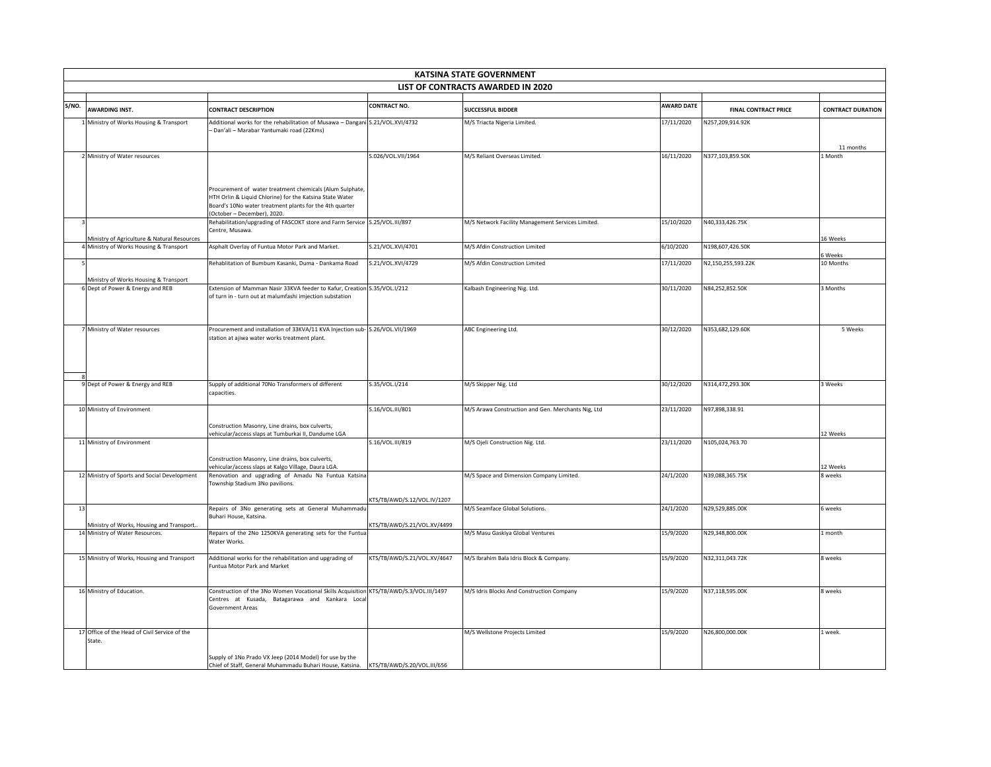|       | <b>KATSINA STATE GOVERNMENT</b>                                              |                                                                                                                                                                                                                |                             |                                                    |                   |                             |                          |  |
|-------|------------------------------------------------------------------------------|----------------------------------------------------------------------------------------------------------------------------------------------------------------------------------------------------------------|-----------------------------|----------------------------------------------------|-------------------|-----------------------------|--------------------------|--|
|       | LIST OF CONTRACTS AWARDED IN 2020                                            |                                                                                                                                                                                                                |                             |                                                    |                   |                             |                          |  |
| S/NO. |                                                                              |                                                                                                                                                                                                                | <b>CONTRACT NO.</b>         |                                                    | <b>AWARD DATE</b> |                             |                          |  |
|       | <b>AWARDING INST.</b>                                                        | <b>CONTRACT DESCRIPTION</b>                                                                                                                                                                                    |                             | <b>SUCCESSFUL BIDDER</b>                           |                   | <b>FINAL CONTRACT PRICE</b> | <b>CONTRACT DURATION</b> |  |
|       | 1 Ministry of Works Housing & Transport                                      | Additional works for the rehabilitation of Musawa - Dangani S.21/VOL.XVI/4732<br>- Dan'ali - Marabar Yantumaki road (22Kms)                                                                                    |                             | M/S Triacta Nigeria Limited.                       | 17/11/2020        | N257,209,914.92K            | 11 months                |  |
|       | 2 Ministry of Water resources                                                |                                                                                                                                                                                                                | S.026/VOL.VII/1964          | M/S Reliant Overseas Limited.                      | 16/11/2020        | N377,103,859.50K            | 1 Month                  |  |
|       |                                                                              | Procurement of water treatment chemicals (Alum Sulphate,<br>HTH Orlin & Liquid Chlorine) for the Katsina State Water<br>Board's 10No water treatment plants for the 4th quarter<br>(October - December), 2020. |                             |                                                    |                   |                             |                          |  |
|       | Ministry of Agriculture & Natural Resources                                  | Rehabilitation/upgrading of FASCOKT store and Farm Service S.25/VOL.III/897<br>Centre, Musawa.                                                                                                                 |                             | M/S Network Facility Management Services Limited.  | 15/10/2020        | N40,333,426.75K             | 16 Weeks                 |  |
|       | 4 Ministry of Works Housing & Transport                                      | Asphalt Overlay of Funtua Motor Park and Market.                                                                                                                                                               | S.21/VOL.XVI/4701           | M/S Afdin Construction Limited                     | 6/10/2020         | N198,607,426.50K            | 6 Weeks                  |  |
|       |                                                                              | Rehablitation of Bumbum Kasanki, Duma - Dankama Road                                                                                                                                                           | S.21/VOL.XVI/4729           | M/S Afdin Construction Limited                     | 17/11/2020        | N2,150,255,593.22K          | 10 Months                |  |
|       | Ministry of Works Housing & Transport<br>6 Dept of Power & Energy and REB    | Extension of Mamman Nasir 33KVA feeder to Kafur, Creation S.35/VOL.I/212<br>of turn in - turn out at malumfashi imjection substation                                                                           |                             | Kalbash Engineering Nig. Ltd.                      | 30/11/2020        | N84,252,852.50K             | 3 Months                 |  |
|       | 7 Ministry of Water resources                                                | Procurement and installation of 33KVA/11 KVA Injection sub- S.26/VOL.VII/1969<br>station at ajiwa water works treatment plant.                                                                                 |                             | ABC Engineering Ltd.                               | 30/12/2020        | N353.682.129.60K            | 5 Weeks                  |  |
|       | 9 Dept of Power & Energy and REB                                             | Supply of additional 70No Transformers of different<br>capacities.                                                                                                                                             | S.35/VOL.I/214              | M/S Skipper Nig. Ltd                               | 30/12/2020        | N314,472,293.30K            | 3 Weeks                  |  |
|       | 10 Ministry of Environment                                                   | Construction Masonry, Line drains, box culverts,                                                                                                                                                               | S.16/VOL.III/801            | M/S Arawa Construction and Gen. Merchants Nig, Ltd | 23/11/2020        | N97,898,338.91              |                          |  |
|       | 11 Ministry of Environment                                                   | vehicular/access slaps at Tumburkai II, Dandume LGA                                                                                                                                                            | S.16/VOL.III/819            | M/S Ojeli Construction Nig. Ltd.                   | 23/11/2020        | N105,024,763.70             | 12 Weeks                 |  |
|       |                                                                              | Construction Masonry, Line drains, box culverts,<br>vehicular/access slaps at Kalgo Village, Daura LGA.                                                                                                        |                             |                                                    |                   |                             | 12 Weeks                 |  |
|       | 12 Ministry of Sports and Social Development                                 | Renovation and upgrading of Amadu Na Funtua Katsina<br>Township Stadium 3No pavilions.                                                                                                                         |                             | M/S Space and Dimension Company Limited.           | 24/1/2020         | N39,088,365.75K             | 8 weeks                  |  |
|       |                                                                              |                                                                                                                                                                                                                | KTS/TB/AWD/S.12/VOL.IV/1207 |                                                    |                   |                             |                          |  |
| 13    |                                                                              | Repairs of 3No generating sets at General Muhammadu<br>Buhari House, Katsina.                                                                                                                                  |                             | M/S Seamface Global Solutions.                     | 24/1/2020         | N29.529.885.00K             | 6 weeks                  |  |
|       | Ministry of Works, Housing and Transport.<br>14 Ministry of Water Resources. | Repairs of the 2No 1250KVA generating sets for the Funtual<br>Water Works.                                                                                                                                     | KTS/TB/AWD/S.21/VOL.XV/4499 | M/S Masu Gaskiya Global Ventures                   | 15/9/2020         | N29,348,800.00K             | 1 month                  |  |
|       | 15 Ministry of Works, Housing and Transport                                  | Additional works for the rehabilitation and upgrading of<br>Funtua Motor Park and Market                                                                                                                       | KTS/TB/AWD/S.21/VOL.XV/4647 | M/S Ibrahim Bala Idris Block & Company.            | 15/9/2020         | N32,311,043.72K             | 8 weeks                  |  |
|       | 16 Ministry of Education.                                                    | Construction of the 3No Women Vocational Skills Acquisition KTS/TB/AWD/S.3/VOL.III/1497<br>Centres at Kusada, Batagarawa and Kankara Local<br>Government Areas                                                 |                             | M/S Idris Blocks And Construction Company          | 15/9/2020         | N37,118,595.00K             | 8 weeks                  |  |
|       | 17 Office of the Head of Civil Service of the<br>State.                      |                                                                                                                                                                                                                |                             | M/S Wellstone Projects Limited                     | 15/9/2020         | N26,800,000.00K             | 1 week.                  |  |
|       |                                                                              | Supply of 1No Prado VX Jeep (2014 Model) for use by the<br>Chief of Staff, General Muhammadu Buhari House, Katsina. KTS/TB/AWD/S.20/VOL.III/656                                                                |                             |                                                    |                   |                             |                          |  |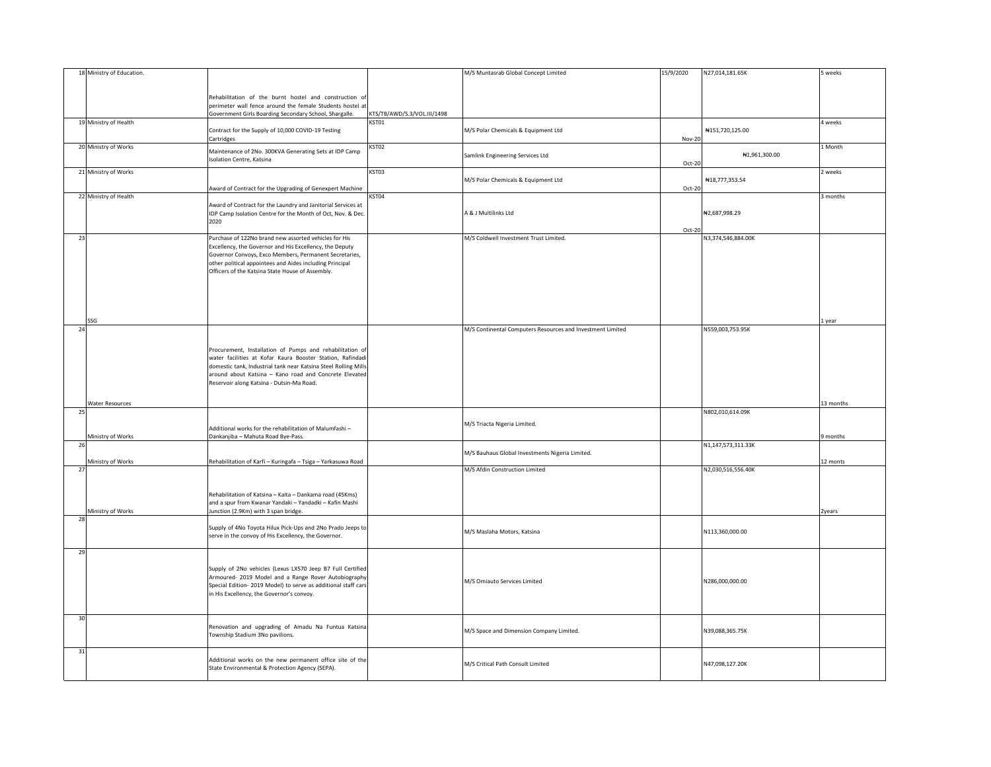| 18 Ministry of Education. |                                                                                                                           |                             | M/S Muntasrab Global Concept Limited                       | 15/9/2020 | N27,014,181.65K    | 5 weeks   |
|---------------------------|---------------------------------------------------------------------------------------------------------------------------|-----------------------------|------------------------------------------------------------|-----------|--------------------|-----------|
|                           |                                                                                                                           |                             |                                                            |           |                    |           |
|                           |                                                                                                                           |                             |                                                            |           |                    |           |
|                           | Rehabilitation of the burnt hostel and construction of<br>perimeter wall fence around the female Students hostel at       |                             |                                                            |           |                    |           |
|                           | Government Girls Boarding Secondary School, Shargalle.                                                                    | KTS/TB/AWD/S.3/VOL.III/1498 |                                                            |           |                    |           |
| 19 Ministry of Health     |                                                                                                                           | KST01                       |                                                            |           |                    | 4 weeks   |
|                           | Contract for the Supply of 10,000 COVID-19 Testing                                                                        |                             | M/S Polar Chemicals & Equipment Ltd                        |           | ₦151,720,125.00    |           |
|                           | Cartridges                                                                                                                |                             |                                                            | Nov-20    |                    |           |
| 20 Ministry of Works      | Maintenance of 2No. 300KVA Generating Sets at IDP Camp                                                                    | KST02                       |                                                            |           |                    | 1 Month   |
|                           | Isolation Centre, Katsina                                                                                                 |                             | Samlink Engineering Services Ltd                           | Oct-20    | ₦1,961,300.00      |           |
| 21 Ministry of Works      |                                                                                                                           | KST03                       |                                                            |           |                    | 2 weeks   |
|                           |                                                                                                                           |                             | M/S Polar Chemicals & Equipment Ltd                        |           | #18,777,353.54     |           |
|                           | Award of Contract for the Upgrading of Genexpert Machine                                                                  |                             |                                                            | Oct-20    |                    |           |
| 22 Ministry of Health     |                                                                                                                           | KST04                       |                                                            |           |                    | 3 months  |
|                           | Award of Contract for the Laundry and Janitorial Services at                                                              |                             |                                                            |           |                    |           |
|                           | IDP Camp Isolation Centre for the Month of Oct, Nov. & Dec.<br>2020                                                       |                             | A & J Multilinks Ltd                                       |           | ₦2,687,998.29      |           |
|                           |                                                                                                                           |                             |                                                            | Oct-20    |                    |           |
| 23                        | Purchase of 122No brand new assorted vehicles for His                                                                     |                             | M/S Coldwell Investment Trust Limited.                     |           | N3,374,546,884.00K |           |
|                           | Excellency, the Governor and His Excellency, the Deputy                                                                   |                             |                                                            |           |                    |           |
|                           | Governor Convoys, Exco Members, Permanent Secretaries,                                                                    |                             |                                                            |           |                    |           |
|                           | other political appointees and Aides including Principal                                                                  |                             |                                                            |           |                    |           |
|                           | Officers of the Katsina State House of Assembly.                                                                          |                             |                                                            |           |                    |           |
|                           |                                                                                                                           |                             |                                                            |           |                    |           |
|                           |                                                                                                                           |                             |                                                            |           |                    |           |
|                           |                                                                                                                           |                             |                                                            |           |                    |           |
|                           |                                                                                                                           |                             |                                                            |           |                    |           |
| SSG                       |                                                                                                                           |                             |                                                            |           |                    | 1 year    |
| 24                        |                                                                                                                           |                             | M/S Continental Computers Resources and Investment Limited |           | N559,003,753.95K   |           |
|                           |                                                                                                                           |                             |                                                            |           |                    |           |
|                           | Procurement, Installation of Pumps and rehabilitation of                                                                  |                             |                                                            |           |                    |           |
|                           | water facilities at Kofar Kaura Booster Station, Rafindadi                                                                |                             |                                                            |           |                    |           |
|                           | domestic tank, Industrial tank near Katsina Steel Rolling Mills<br>around about Katsina - Kano road and Concrete Elevated |                             |                                                            |           |                    |           |
|                           | Reservoir along Katsina - Dutsin-Ma Road.                                                                                 |                             |                                                            |           |                    |           |
|                           |                                                                                                                           |                             |                                                            |           |                    |           |
| Water Resources           |                                                                                                                           |                             |                                                            |           |                    | 13 months |
| 25                        |                                                                                                                           |                             |                                                            |           | N802,010,614.09K   |           |
|                           |                                                                                                                           |                             | M/S Triacta Nigeria Limited.                               |           |                    |           |
|                           | Additional works for the rehabilitation of Malumfashi-                                                                    |                             |                                                            |           |                    |           |
| Ministry of Works         | Dankanjiba - Mahuta Road Bye-Pass.                                                                                        |                             |                                                            |           | N1,147,573,311.33K | 9 months  |
| 26                        |                                                                                                                           |                             | M/S Bauhaus Global Investments Nigeria Limited.            |           |                    |           |
| Ministry of Works         | Rehabilitation of Karfi - Kuringafa - Tsiga - Yarkasuwa Road                                                              |                             |                                                            |           |                    | 12 monts  |
| 27                        |                                                                                                                           |                             | M/S Afdin Construction Limited                             |           | N2,030,516,556.40K |           |
|                           |                                                                                                                           |                             |                                                            |           |                    |           |
|                           |                                                                                                                           |                             |                                                            |           |                    |           |
|                           | Rehabilitation of Katsina - Kaita - Dankama road (45Kms)<br>and a spur from Kwanar Yandaki - Yandadki - Kafin Mashi       |                             |                                                            |           |                    |           |
| Ministry of Works         | Junction (2.9Km) with 3 span bridge.                                                                                      |                             |                                                            |           |                    | 2years    |
| 28                        |                                                                                                                           |                             |                                                            |           |                    |           |
|                           | Supply of 4No Toyota Hilux Pick-Ups and 2No Prado Jeeps to                                                                |                             |                                                            |           | N113,360,000.00    |           |
|                           | serve in the convoy of His Excellency, the Governor.                                                                      |                             | M/S Maslaha Motors, Katsina                                |           |                    |           |
|                           |                                                                                                                           |                             |                                                            |           |                    |           |
| 29                        |                                                                                                                           |                             |                                                            |           |                    |           |
|                           | Supply of 2No vehicles (Lexus LX570 Jeep B7 Full Certified                                                                |                             |                                                            |           |                    |           |
|                           | Armoured- 2019 Model and a Range Rover Autobiography                                                                      |                             |                                                            |           |                    |           |
|                           | Special Edition- 2019 Model) to serve as additional staff cars                                                            |                             | M/S Omiauto Services Limited                               |           | N286,000,000.00    |           |
|                           | in His Excellency, the Governor's convoy.                                                                                 |                             |                                                            |           |                    |           |
|                           |                                                                                                                           |                             |                                                            |           |                    |           |
| 30                        |                                                                                                                           |                             |                                                            |           |                    |           |
|                           | Renovation and upgrading of Amadu Na Funtua Katsina                                                                       |                             |                                                            |           |                    |           |
|                           | Township Stadium 3No pavilions.                                                                                           |                             | M/S Space and Dimension Company Limited.                   |           | N39,088,365.75K    |           |
|                           |                                                                                                                           |                             |                                                            |           |                    |           |
| 31                        |                                                                                                                           |                             |                                                            |           |                    |           |
|                           | Additional works on the new permanent office site of the                                                                  |                             | M/S Critical Path Consult Limited                          |           | N47,098,127.20K    |           |
|                           | State Environmental & Protection Agency (SEPA).                                                                           |                             |                                                            |           |                    |           |
|                           |                                                                                                                           |                             |                                                            |           |                    |           |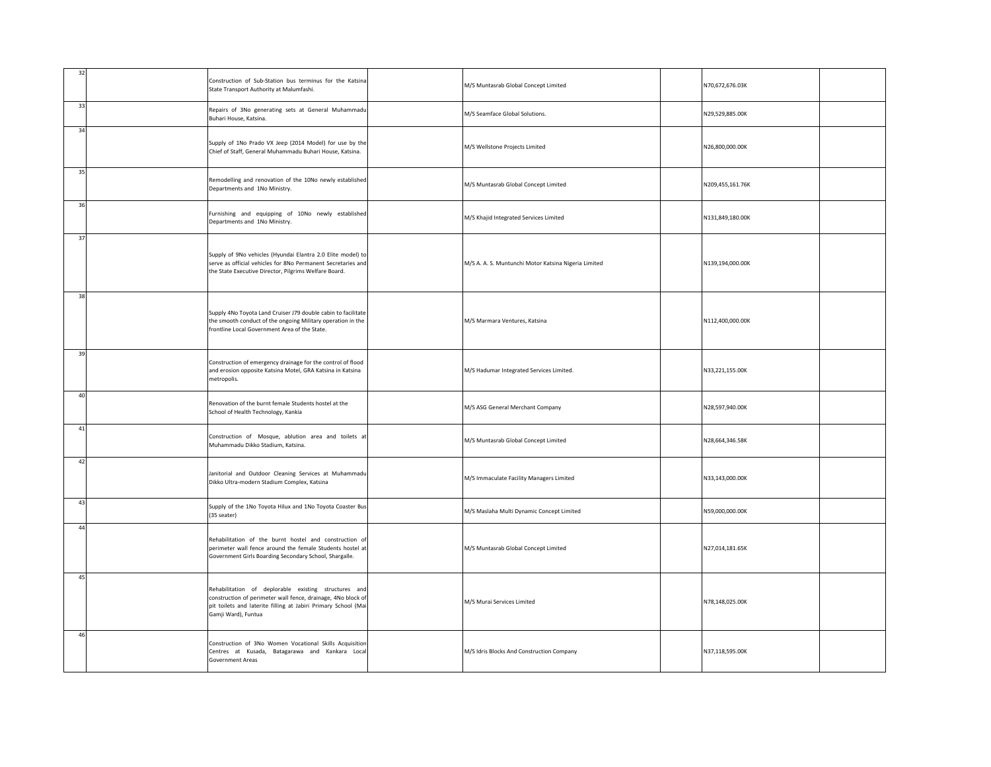| 32 | Construction of Sub-Station bus terminus for the Katsina<br>State Transport Authority at Malumfashi.                                                                                                          | M/S Muntasrab Global Concept Limited                 | N70,672,676.03K  |  |
|----|---------------------------------------------------------------------------------------------------------------------------------------------------------------------------------------------------------------|------------------------------------------------------|------------------|--|
| 33 | Repairs of 3No generating sets at General Muhammadu<br>Buhari House, Katsina.                                                                                                                                 | M/S Seamface Global Solutions.                       | N29,529,885.00K  |  |
| 34 | Supply of 1No Prado VX Jeep (2014 Model) for use by the<br>Chief of Staff, General Muhammadu Buhari House, Katsina.                                                                                           | M/S Wellstone Projects Limited                       | N26,800,000.00K  |  |
| 35 | Remodelling and renovation of the 10No newly established<br>Departments and 1No Ministry.                                                                                                                     | M/S Muntasrab Global Concept Limited                 | N209,455,161.76K |  |
| 36 | Furnishing and equipping of 10No newly established<br>Departments and 1No Ministry.                                                                                                                           | M/S Khajid Integrated Services Limited               | N131,849,180.00K |  |
| 37 | Supply of 9No vehicles (Hyundai Elantra 2.0 Elite model) to<br>serve as official vehicles for 8No Permanent Secretaries and<br>the State Executive Director, Pilgrims Welfare Board.                          | M/S A. A. S. Muntunchi Motor Katsina Nigeria Limited | N139,194,000.00K |  |
| 38 | Supply 4No Toyota Land Cruiser J79 double cabin to facilitate<br>the smooth conduct of the ongoing Military operation in the<br>frontline Local Government Area of the State.                                 | M/S Marmara Ventures, Katsina                        | N112,400,000.00K |  |
| 39 | Construction of emergency drainage for the control of flood<br>and erosion opposite Katsina Motel, GRA Katsina in Katsina<br>metropolis.                                                                      | M/S Hadumar Integrated Services Limited.             | N33,221,155.00K  |  |
| 40 | Renovation of the burnt female Students hostel at the<br>School of Health Technology, Kankia                                                                                                                  | M/S ASG General Merchant Company                     | N28,597,940.00K  |  |
| 41 | Construction of Mosque, ablution area and toilets at<br>Muhammadu Dikko Stadium, Katsina.                                                                                                                     | M/S Muntasrab Global Concept Limited                 | N28,664,346.58K  |  |
| 42 | Janitorial and Outdoor Cleaning Services at Muhammadu<br>Dikko Ultra-modern Stadium Complex, Katsina                                                                                                          | M/S Immaculate Facility Managers Limited             | N33,143,000.00K  |  |
| 43 | Supply of the 1No Toyota Hilux and 1No Toyota Coaster Bus<br>(35 seater)                                                                                                                                      | M/S Maslaha Multi Dynamic Concept Limited            | N59,000,000.00K  |  |
| 44 | Rehabilitation of the burnt hostel and construction of<br>perimeter wall fence around the female Students hostel at<br>Government Girls Boarding Secondary School, Shargalle.                                 | M/S Muntasrab Global Concept Limited                 | N27,014,181.65K  |  |
| 45 | Rehabilitation of deplorable existing structures and<br>construction of perimeter wall fence, drainage, 4No block of<br>pit toilets and laterite filling at Jabiri Primary School (Mai<br>Gamji Ward), Funtua | M/S Murai Services Limited                           | N78,148,025.00K  |  |
| 46 | Construction of 3No Women Vocational Skills Acquisition<br>Centres at Kusada, Batagarawa and Kankara Local<br><b>Government Areas</b>                                                                         | M/S Idris Blocks And Construction Company            | N37,118,595.00K  |  |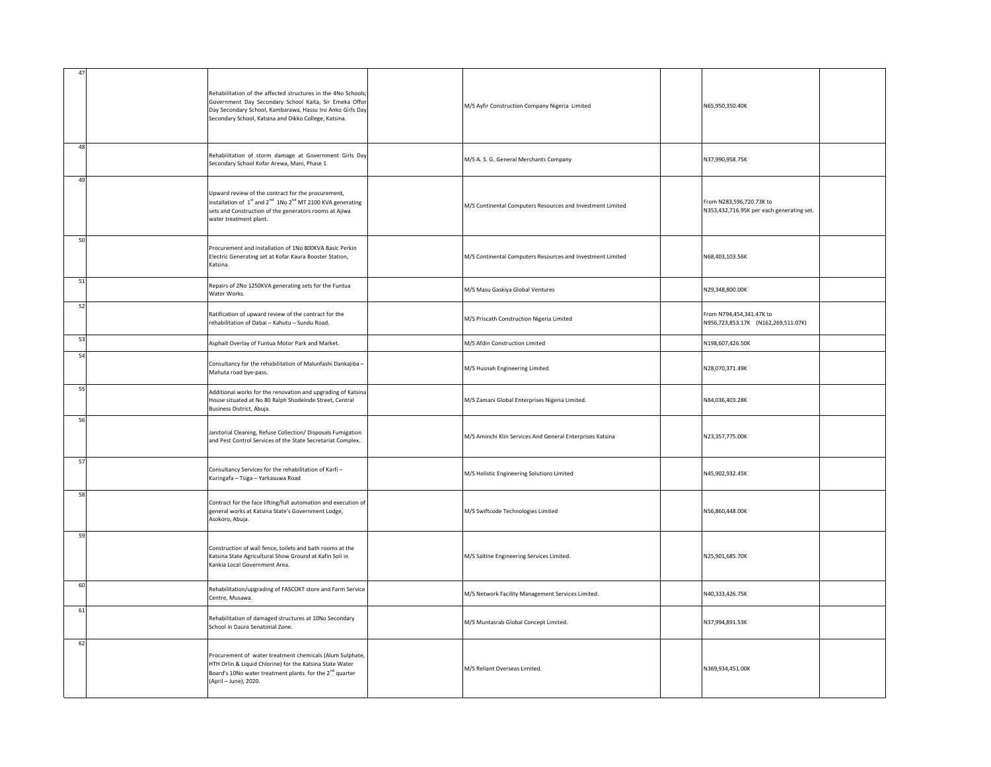| $\overline{4}$ | Rehabilitation of the affected structures in the 4No Schools;<br>Government Day Secondary School Kaita, Sir Emeka Offor<br>Day Secondary School, Kambarawa, Hassu Iro Anko Girls Day<br>Secondary School, Katsina and Dikko College, Katsina. | M/S Ayfir Construction Company Nigeria Limited             | N65,950,350.40K                                                       |  |
|----------------|-----------------------------------------------------------------------------------------------------------------------------------------------------------------------------------------------------------------------------------------------|------------------------------------------------------------|-----------------------------------------------------------------------|--|
| 48             | Rehabilitation of storm damage at Government Girls Day<br>Secondary School Kofar Arewa, Mani, Phase 1                                                                                                                                         | M/S A. S. G. General Merchants Company                     | N37,990,958.75K                                                       |  |
| 49             | Upward review of the contract for the procurement,<br>installation of $1^{st}$ and $2^{nd}$ 1No $2^{nd}$ MT 2100 KVA generating<br>sets and Construction of the generators rooms at Ajiwa<br>water treatment plant.                           | M/S Continental Computers Resources and Investment Limited | From N283,596,720.73K to<br>N353,432,716.95K per each generating set. |  |
| 50             | Procurement and installation of 1No 800KVA Basic Perkin<br>Electric Generating set at Kofar Kaura Booster Station,<br>Katsina.                                                                                                                | M/S Continental Computers Resources and Investment Limited | N68,403,103.56K                                                       |  |
| 51             | Repairs of 2No 1250KVA generating sets for the Funtua<br>Water Works.                                                                                                                                                                         | M/S Masu Gaskiya Global Ventures                           | N29,348,800.00K                                                       |  |
| 52             | Ratification of upward review of the contract for the<br>rehabilitation of Dabai - Kahutu - Sundu Road.                                                                                                                                       | M/S Priscath Construction Nigeria Limited                  | From N794,454,341.47K to<br>N956,723,853.17K (N162,269,511.07K)       |  |
| 53             | Asphalt Overlay of Funtua Motor Park and Market.                                                                                                                                                                                              | M/S Afdin Construction Limited                             | N198,607,426.50K                                                      |  |
| 54             | Consultancy for the rehabilitation of Malunfashi Dankajiba -<br>Mahuta road bye-pass.                                                                                                                                                         | M/S Husnah Engineering Limited.                            | N28,070,371.49K                                                       |  |
| 55             | Additional works for the renovation and upgrading of Katsina<br>House situated at No 80 Ralph Shodeinde Street, Central<br>Business District, Abuja.                                                                                          | M/S Zamani Global Enterprises Nigeria Limited.             | N84,036,403.28K                                                       |  |
| 56             | Janitorial Cleaning, Refuse Collection/ Disposals Fumigation<br>and Pest Control Services of the State Secretariat Complex.                                                                                                                   | M/S Aminchi Klin Services And General Enterprises Katsina  | N23,357,775.00K                                                       |  |
| 57             | Consultancy Services for the rehabilitation of Karfi-<br>Kuringafa - Tsiga - Yarkasuwa Road                                                                                                                                                   | M/S Holistic Engineering Solutions Limited                 | N45,902,932.45K                                                       |  |
| 58             | Contract for the face lifting/full automation and execution of<br>general works at Katsina State's Government Lodge,<br>Asokoro, Abuja.                                                                                                       | M/S Swiftcode Technologies Limited                         | N56,860,448.00K                                                       |  |
| 59             | Construction of wall fence, toilets and bath rooms at the<br>Katsina State Agricultural Show Ground at Kafin Soli in<br>Kankia Local Government Area.                                                                                         | M/S Saltine Engineering Services Limited.                  | N25,901,685.70K                                                       |  |
| 60             | Rehabilitation/upgrading of FASCOKT store and Farm Service<br>Centre, Musawa.                                                                                                                                                                 | M/S Network Facility Management Services Limited.          | N40,333,426.75K                                                       |  |
| 61             | Rehabilitation of damaged structures at 10No Secondary<br>School in Daura Senatorial Zone.                                                                                                                                                    | M/S Muntasrab Global Concept Limited.                      | N37,994,891.53K                                                       |  |
| 62             | Procurement of water treatment chemicals (Alum Sulphate,<br>HTH Orlin & Liquid Chlorine) for the Katsina State Water<br>Board's 10No water treatment plants for the 2 <sup>nd</sup> quarter<br>(April - June), 2020.                          | M/S Reliant Overseas Limited.                              | N369,934,451.00K                                                      |  |